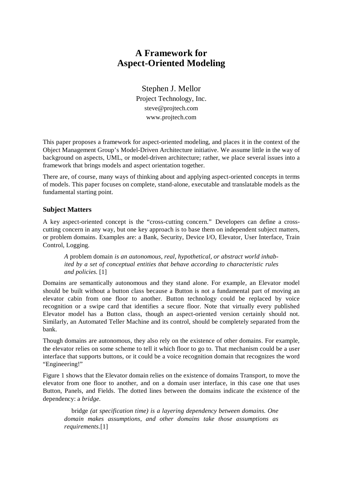# **A Framework for Aspect-Oriented Modeling**

Stephen J. Mellor Project Technology, Inc. steve@projtech.com www.projtech.com

This paper proposes a framework for aspect-oriented modeling, and places it in the context of the Object Management Group's Model-Driven Architecture initiative. We assume little in the way of background on aspects, UML, or model-driven architecture; rather, we place several issues into a framework that brings models and aspect orientation together.

There are, of course, many ways of thinking about and applying aspect-oriented concepts in terms of models. This paper focuses on complete, stand-alone, executable and translatable models as the fundamental starting point.

# **Subject Matters**

A key aspect-oriented concept is the "cross-cutting concern." Developers can define a crosscutting concern in any way, but one key approach is to base them on independent subject matters, or problem domains. Examples are: a Bank, Security, Device I/O, Elevator, User Interface, Train Control, Logging.

*A* problem domain *is an autonomous, real, hypothetical, or abstract world inhabited by a set of conceptual entities that behave according to characteristic rules and policies.* [1]

Domains are semantically autonomous and they stand alone. For example, an Elevator model should be built without a button class because a Button is not a fundamental part of moving an elevator cabin from one floor to another. Button technology could be replaced by voice recognition or a swipe card that identifies a secure floor. Note that virtually every published Elevator model has a Button class, though an aspect-oriented version certainly should not. Similarly, an Automated Teller Machine and its control, should be completely separated from the bank.

Though domains are autonomous, they also rely on the existence of other domains. For example, the elevator relies on some scheme to tell it which floor to go to. That mechanism could be a user interface that supports buttons, or it could be a voice recognition domain that recognizes the word "Engineering!"

Figure 1 shows that the Elevator domain relies on the existence of domains Transport, to move the elevator from one floor to another, and on a domain user interface, in this case one that uses Button, Panels, and Fields. The dotted lines between the domains indicate the existence of the dependency: a *bridge*.

bridge *(at specification time) is a layering dependency between domains. One domain makes assumptions, and other domains take those assumptions as requirements.*[1]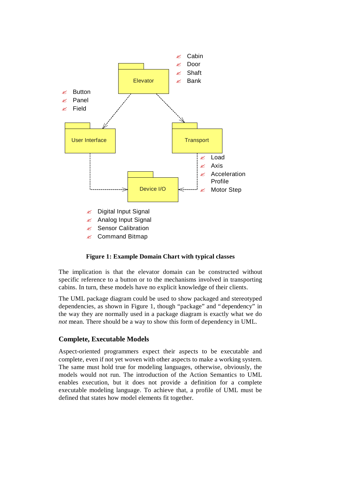

#### **Figure 1: Example Domain Chart with typical classes**

The implication is that the elevator domain can be constructed without specific reference to a button or to the mechanisms involved in transporting cabins. In turn, these models have no explicit knowledge of their clients.

The UML package diagram could be used to show packaged and stereotyped dependencies, as shown in Figure 1, though "package" and "dependency" in the way they are normally used in a package diagram is exactly what we do *not* mean. There should be a way to show this form of dependency in UML.

# **Complete, Executable Models**

Aspect-oriented programmers expect their aspects to be executable and complete, even if not yet woven with other aspects to make a working system. The same must hold true for modeling languages, otherwise, obviously, the models would not run. The introduction of the Action Semantics to UML enables execution, but it does not provide a definition for a complete executable modeling language. To achieve that, a profile of UML must be defined that states how model elements fit together.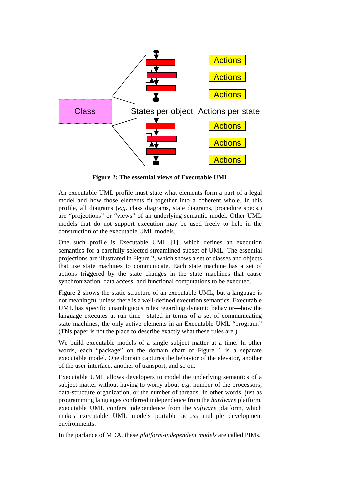

**Figure 2: The essential views of Executable UML**

An executable UML profile must state what elements form a part of a legal model and how those elements fit together into a coherent whole. In this profile, all diagrams (*e.g.* class diagrams, state diagrams, procedure specs.) are "projections" or "views" of an underlying semantic model. Other UML models that do not support execution may be used freely to help in the construction of the executable UML models.

One such profile is Executable UML [1], which defines an execution semantics for a carefully selected streamlined subset of UML. The essential projections are illustrated in Figure 2, which shows a set of classes and objects that use state machines to communicate. Each state machine has a set of actions triggered by the state changes in the state machines that cause synchronization, data access, and functional computations to be executed.

Figure 2 shows the static structure of an executable UML, but a language is not meaningful unless there is a well-defined execution semantics. Executable UML has specific unambiguous rules regarding dynamic behavior— how the language executes at run time— stated in terms of a set of communicating state machines, the only active elements in an Executable UML "program." (This paper is not the place to describe exactly what these rules are.)

We build executable models of a single subject matter at a time. In other words, each "package" on the domain chart of Figure 1 is a separate executable model. One domain captures the behavior of the elevator, another of the user interface, another of transport, and so on.

Executable UML allows developers to model the underlying semantics of a subject matter without having to worry about *e.g.* number of the processors, data-structure organization, or the number of threads. In other words, just as programming languages conferred independence from the *hardware* platform, executable UML confers independence from the *software* platform, which makes executable UML models portable across multiple development environments.

In the parlance of MDA, these *platform-independent models* are called PIMs.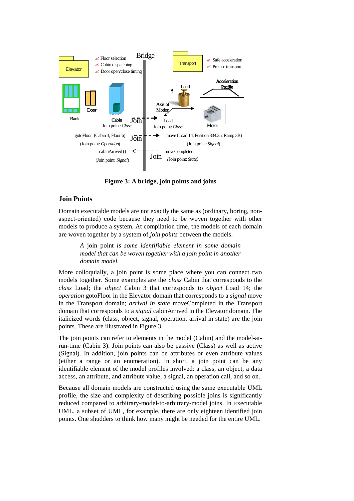

**Figure 3: A bridge, join points and joins**

# **Join Points**

Domain executable models are not exactly the same as (ordinary, boring, nonaspect-oriented) code because they need to be woven together with other models to produce a system. At compilation time, the models of each domain are woven together by a system of *join points* between the models.

> *A* join point *is some identifiable element in some domain model that can be woven together with a join point in another domain model.*

More colloquially, a join point is some place where you can connect two models together. Some examples are the *class* Cabin that corresponds to the *class* Load; the *object* Cabin 3 that corresponds to *object* Load 14; the *operation* gotoFloor in the Elevator domain that corresponds to a *signal* move in the Transport domain; *arrival in state* moveCompleted in the Transport domain that corresponds to a *signal* cabinArrived in the Elevator domain. The italicized words (class, object, signal, operation, arrival in state) are the join points. These are illustrated in Figure 3.

The join points can refer to elements in the model (Cabin) and the model-atrun-time (Cabin 3). Join points can also be passive (Class) as well as active (Signal). In addition, join points can be attributes or even attribute values (either a range or an enumeration). In short, a join point can be any identifiable element of the model profiles involved: a class, an object, a data access, an attribute, and attribute value, a signal, an operation call, and so on.

Because all domain models are constructed using the same executable UML profile, the size and complexity of describing possible joins is significantly reduced compared to arbitrary-model-to-arbitrary-model joins. In Executable UML, a subset of UML, for example, there are only eighteen identified join points. One shudders to think how many might be needed for the entire UML.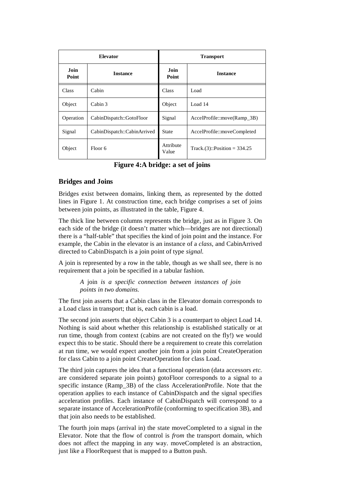| <b>Elevator</b> |                             | <b>Transport</b>   |                                  |
|-----------------|-----------------------------|--------------------|----------------------------------|
| Join<br>Point   | <b>Instance</b>             | Join<br>Point      | <b>Instance</b>                  |
| Class           | Cabin                       | Class              | Load                             |
| Object          | Cabin 3                     | Object             | Load 14                          |
| Operation       | CabinDispatch::GotoFloor    | Signal             | $AccelProfile::move(Ramp_3B)$    |
| Signal          | CabinDispatch::CabinArrived | State              | AccelProfile::moveCompleted      |
| Object          | Floor 6                     | Attribute<br>Value | Track. $(3)$ ::Position = 334.25 |

**Figure 4:A bridge: a set of joins**

# **Bridges and Joins**

Bridges exist between domains, linking them, as represented by the dotted lines in Figure 1. At construction time, each bridge comprises a set of joins between join points, as illustrated in the table, Figure 4.

The thick line between columns represents the bridge, just as in Figure 3. On each side of the bridge (it doesn't matter which— bridges are not directional) there is a "half-table" that specifies the kind of join point and the instance. For example, the Cabin in the elevator is an instance of a *class*, and CabinArrived directed to CabinDispatch is a join point of type *signal.* 

A join is represented by a row in the table, though as we shall see, there is no requirement that a join be specified in a tabular fashion.

> *A* join *is a specific connection between instances of join points in two domains.*

The first join asserts that a Cabin class in the Elevator domain corresponds to a Load class in transport; that is, each cabin is a load.

The second join asserts that object Cabin 3 is a counterpart to object Load 14. Nothing is said about whether this relationship is established statically or at run time, though from context (cabins are not created on the fly!) we would expect this to be static. Should there be a requirement to create this correlation at run time, we would expect another join from a join point CreateOperation for class Cabin to a join point CreateOperation for class Load.

The third join captures the idea that a functional operation (data accessors *etc.* are considered separate join points) gotoFloor corresponds to a signal to a specific instance (Ramp 3B) of the class AccelerationProfile. Note that the operation applies to each instance of CabinDispatch and the signal specifies acceleration profiles. Each instance of CabinDispatch will correspond to a separate instance of AccelerationProfile (conforming to specification 3B), and that join also needs to be established.

The fourth join maps (arrival in) the state moveCompleted to a signal in the Elevator. Note that the flow of control is *from* the transport domain, which does not affect the mapping in any way. moveCompleted is an abstraction, just like a FloorRequest that is mapped to a Button push.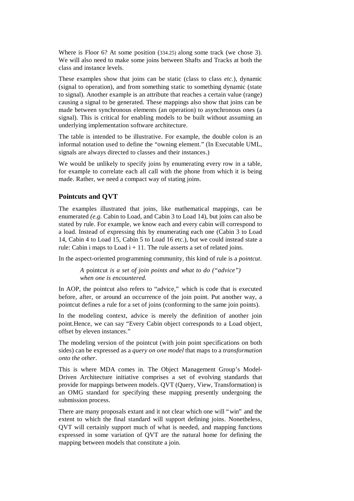Where is Floor 6? At some position (334.25) along some track (we chose 3). We will also need to make some joins between Shafts and Tracks at both the class and instance levels.

These examples show that joins can be static (class to class *etc.*), dynamic (signal to operation), and from something static to something dynamic (state to signal). Another example is an attribute that reaches a certain value (range) causing a signal to be generated. These mappings also show that joins can be made between synchronous elements (an operation) to asynchronous ones (a signal). This is critical for enabling models to be built without assuming an underlying implementation software architecture.

The table is intended to be illustrative. For example, the double colon is an informal notation used to define the "owning element." (In Executable UML, signals are always directed to classes and their instances.)

We would be unlikely to specify joins by enumerating every row in a table, for example to correlate each all call with the phone from which it is being made. Rather, we need a compact way of stating joins.

#### **Pointcuts and QVT**

The examples illustrated that joins, like mathematical mappings, can be enumerated *(e.g.* Cabin to Load, and Cabin 3 to Load 14), but joins can also be stated by rule. For example, we know each and every cabin will correspond to a load. Instead of expressing this by enumerating each one (Cabin 3 to Load 14, Cabin 4 to Load 15, Cabin 5 to Load 16 etc.), but we could instead state a rule: Cabin i maps to Load  $i + 11$ . The rule asserts a set of related joins.

In the aspect-oriented programming community, this kind of rule is a *pointcut*.

*A* pointcut *is a set of join points and what to do ("advice") when one is encountered.*

In AOP, the pointcut also refers to "advice," which is code that is executed before, after, or around an occurrence of the join point. Put another way, a pointcut defines a rule for a set of joins (conforming to the same join points).

In the modeling context, advice is merely the definition of another join point.Hence, we can say "Every Cabin object corresponds to a Load object, offset by eleven instances."

The modeling version of the pointcut (with join point specifications on both sides) can be expressed as a *query on one model* that maps to a *transformation onto the other*.

This is where MDA comes in. The Object Management Group's Model-Driven Architecture initiative comprises a set of evolving standards that provide for mappings between models. QVT (Query, View, Transformation) is an OMG standard for specifying these mapping presently undergoing the submission process.

There are many proposals extant and it not clear which one will "win" and the extent to which the final standard will support defining joins. Nonetheless, QVT will certainly support much of what is needed, and mapping functions expressed in some variation of QVT are the natural home for defining the mapping between models that constitute a join.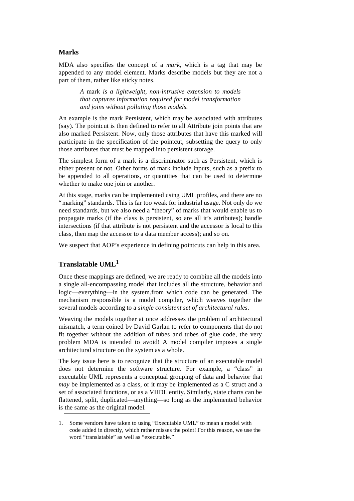#### **Marks**

MDA also specifies the concept of a *mark,* which is a tag that may be appended to any model element. Marks describe models but they are not a part of them, rather like sticky notes.

> *A* mark *is a lightweight, non-intrusive extension to models that captures information required for model transformation and joins without polluting those models.*

An example is the mark Persistent, which may be associated with attributes (say). The pointcut is then defined to refer to all Attribute join points that are also marked Persistent. Now, only those attributes that have this marked will participate in the specification of the pointcut, subsetting the query to only those attributes that must be mapped into persistent storage.

The simplest form of a mark is a discriminator such as Persistent, which is either present or not. Other forms of mark include inputs, such as a prefix to be appended to all operations, or quantities that can be used to determine whether to make one join or another.

At this stage, marks can be implemented using UML profiles, and there are no "marking" standards. This is far too weak for industrial usage. Not only do we need standards, but we also need a "theory" of marks that would enable us to propagate marks (if the class is persistent, so are all it's attributes); handle intersections (if that attribute is not persistent and the accessor is local to this class, then map the accessor to a data member access); and so on.

We suspect that AOP's experience in defining pointcuts can help in this area.

# **Translatable UML<sup>1</sup>**

Once these mappings are defined, we are ready to combine all the models into a single all-encompassing model that includes all the structure, behavior and logic— everything— in the system.from which code can be generated. The mechanism responsible is a model compiler, which weaves together the several models according to a *single consistent set of architectural rules*.

Weaving the models together at once addresses the problem of architectural mismatch, a term coined by David Garlan to refer to components that do not fit together without the addition of tubes and tubes of glue code, the very problem MDA is intended to avoid! A model compiler imposes a single architectural structure on the system as a whole.

The key issue here is to recognize that the structure of an executable model does not determine the software structure. For example, a "class" in executable UML represents a conceptual grouping of data and behavior that *may* be implemented as a class, or it may be implemented as a C struct and a set of associated functions, or as a VHDL entity. Similarly, state charts can be flattened, split, duplicated— anything— so long as the implemented behavior is the same as the original model.

<sup>1.</sup> Some vendors have taken to using "Executable UML" to mean a model with code added in directly, which rather misses the point! For this reason, we use the word "translatable" as well as "executable."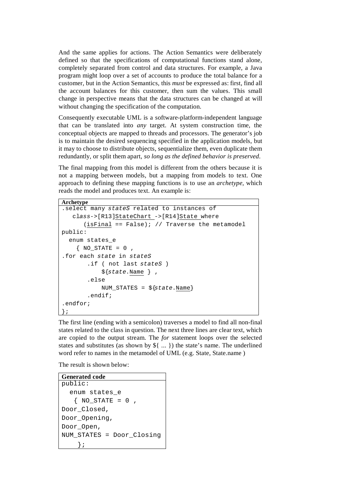And the same applies for actions. The Action Semantics were deliberately defined so that the specifications of computational functions stand alone, completely separated from control and data structures. For example, a Java program might loop over a set of accounts to produce the total balance for a customer, but in the Action Semantics, this *must* be expressed as: first, find all the account balances for this customer, then sum the values. This small change in perspective means that the data structures can be changed at will without changing the specification of the computation.

Consequently executable UML is a software-platform-independent language that can be translated into *any* target. At system construction time, the conceptual objects are mapped to threads and processors. The generator's job is to maintain the desired sequencing specified in the application models, but it may to choose to distribute objects, sequentialize them, even duplicate them redundantly, or split them apart, *so long as the defined behavior is preserved*.

The final mapping from this model is different from the others because it is not a mapping between models, but a mapping from models to text. One approach to defining these mapping functions is to use an *archetype,* which reads the model and produces text. An example is:

```
Archetype
.select many stateS related to instances of 
    class->[R13]StateChart ->[R14]State where
      (isFinal == False); // Traverse the metamodel
public:
   enum states_e
    \{ NOSTATE = 0 \}.for each state in stateS
        .if ( not last stateS )
             ${state.Name } ,
        .else
            NUM_STATES = ${state.Name}
        .endif;
.endfor;
};
```
The first line (ending with a semicolon) traverses a model to find all non-final states related to the class in question. The next three lines are clear text, which are copied to the output stream. The *for* statement loops over the selected states and substitutes (as shown by  $\S$ { ... }) the state's name. The underlined word refer to names in the metamodel of UML (e.g. State, State.name )

The result is shown below:

```
Generated code
public:
   enum states_e
   \{ NOSTATE = 0 \}Door_Closed,
Door_Opening,
Door_Open,
NUM_STATES = Door_Closing
     };
```